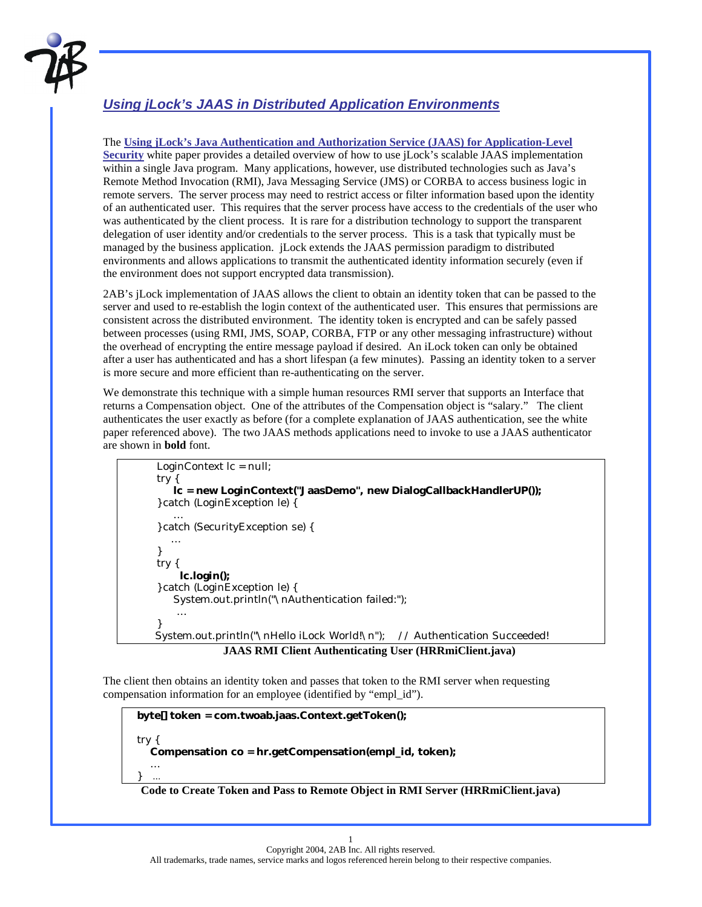

## *Using jLock's JAAS in Distributed Application Environments*

The **Using jLock's Java Authentication and Authorization Service (JAAS) for Application-Level Security** white paper provides a detailed overview of how to use jLock's scalable JAAS implementation within a single Java program. Many applications, however, use distributed technologies such as Java's Remote Method Invocation (RMI), Java Messaging Service (JMS) or CORBA to access business logic in remote servers. The server process may need to restrict access or filter information based upon the identity of an authenticated user. This requires that the server process have access to the credentials of the user who was authenticated by the client process. It is rare for a distribution technology to support the transparent delegation of user identity and/or credentials to the server process. This is a task that typically must be managed by the business application. jLock extends the JAAS permission paradigm to distributed environments and allows applications to transmit the authenticated identity information securely (even if the environment does not support encrypted data transmission).

2AB's jLock implementation of JAAS allows the client to obtain an identity token that can be passed to the server and used to re-establish the login context of the authenticated user. This ensures that permissions are consistent across the distributed environment. The identity token is encrypted and can be safely passed between processes (using RMI, JMS, SOAP, CORBA, FTP or any other messaging infrastructure) without the overhead of encrypting the entire message payload if desired. An iLock token can only be obtained after a user has authenticated and has a short lifespan (a few minutes). Passing an identity token to a server is more secure and more efficient than re-authenticating on the server.

We demonstrate this technique with a simple human resources RMI server that supports an Interface that returns a Compensation object. One of the attributes of the Compensation object is "salary." The client authenticates the user exactly as before (for a complete explanation of JAAS authentication, see the white paper referenced above). The two JAAS methods applications need to invoke to use a JAAS authenticator are shown in **bold** font.

```
 LoginContext lc = null;
     try {
        lc = new LoginContext("JaasDemo", new DialogCallbackHandlerUP());
     } catch (LoginException le) {
…
     } catch (SecurityException se) {
   …
}
     try {
          lc.login();
     } catch (LoginException le) {
        System.out.println("\nAuthentication failed:");
…
}
    System.out.println("\nHello iLock World!\n"); // Authentication Succeeded!
```
 **JAAS RMI Client Authenticating User (HRRmiClient.java)**

The client then obtains an identity token and passes that token to the RMI server when requesting compensation information for an employee (identified by "empl\_id").

**byte[] token = com.twoab.jaas.Context.getToken();**

try {

**Compensation co = hr.getCompensation(empl\_id, token);**

 … } …

**Code to Create Token and Pass to Remote Object in RMI Server (HRRmiClient.java)**